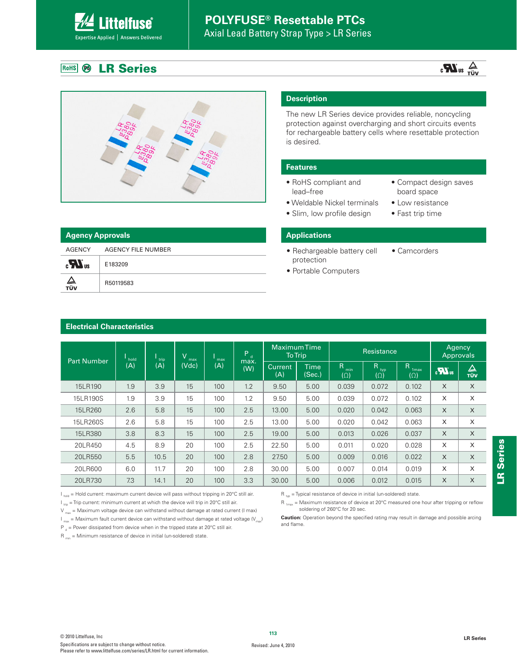# **POLYFUSE® Resettable PTCs**

Axial Lead Battery Strap Type > LR Series

#### **LR Series** RoHS **B**

**ittelfuse** 

Expertise Applied | Answers Delivered

### $\frac{1}{\sqrt{U}}$  au  $\frac{1}{\sqrt{U}}$



| <b>Agency Approvals</b> |                    | <b>Applications</b>                |              |  |  |  |  |  |  |
|-------------------------|--------------------|------------------------------------|--------------|--|--|--|--|--|--|
| AGENCY                  | AGENCY FILE NUMBER | • Rechargeable battery cell        | • Camcorders |  |  |  |  |  |  |
| $_{c}M_{us}$            | E183209            | protection<br>• Portable Computers |              |  |  |  |  |  |  |
| ∠⊾<br>τΰν               | R50119583          |                                    |              |  |  |  |  |  |  |

#### **Description**

The new LR Series device provides reliable, noncycling protection against overcharging and short circuits events for rechargeable battery cells where resettable protection is desired.

#### **Features**

- RoHS compliant and lead–free
- Weldable Nickel terminals • Slim, low profile design
- Compact design saves board space
- Low resistance
	- Fast trip time

#### **Applications**

- protection
- Portable Computers

#### **Electrical Characteristics**

| <b>Part Number</b> | hold | trip. |       |     | $\sqrt{}$<br>max | max                   | P.             | <b>Maximum Time</b>    | <b>To Trip</b>          |                                     | Resistance      |          | Agency<br>Approvals |  |
|--------------------|------|-------|-------|-----|------------------|-----------------------|----------------|------------------------|-------------------------|-------------------------------------|-----------------|----------|---------------------|--|
|                    | (A)  | (A)   | (Vdc) | (A) | max.<br>(W)      | <b>Current</b><br>(A) | Time<br>(Sec.) | R<br>min<br>$(\Omega)$ | R.<br>typ<br>$(\Omega)$ | R<br>1 <sub>max</sub><br>$(\Omega)$ | $\sum_{\alpha}$ | △<br>TÜV |                     |  |
| 15LR190            | 1.9  | 3.9   | 15    | 100 | 1.2              | 9.50                  | 5.00           | 0.039                  | 0.072                   | 0.102                               | X               | $\times$ |                     |  |
| 15LR190S           | 1.9  | 3.9   | 15    | 100 | 1.2              | 9.50                  | 5.00           | 0.039                  | 0.072                   | 0.102                               | X               | X        |                     |  |
| 15LR260            | 2.6  | 5.8   | 15    | 100 | 2.5              | 13.00                 | 5.00           | 0.020                  | 0.042                   | 0.063                               | X               | $\times$ |                     |  |
| 15LR260S           | 2.6  | 5.8   | 15    | 100 | 2.5              | 13.00                 | 5.00           | 0.020                  | 0.042                   | 0.063                               | X               | X        |                     |  |
| 15LR380            | 3.8  | 8.3   | 15    | 100 | 2.5              | 19.00                 | 5.00           | 0.013                  | 0.026                   | 0.037                               | X               | $\times$ |                     |  |
| 20LR450            | 4.5  | 8.9   | 20    | 100 | 2.5              | 22.50                 | 5.00           | 0.011                  | 0.020                   | 0.028                               | X               | X        |                     |  |
| 20LR550            | 5.5  | 10.5  | 20    | 100 | 2.8              | 27.50                 | 5.00           | 0.009                  | 0.016                   | 0.022                               | X               | $\times$ |                     |  |
| 20LR600            | 6.0  | 11.7  | 20    | 100 | 2.8              | 30.00                 | 5.00           | 0.007                  | 0.014                   | 0.019                               | X               | X        |                     |  |
| 20LR730            | 7.3  | 14.1  | 20    | 100 | 3.3              | 30.00                 | 5.00           | 0.006                  | 0.012                   | 0.015                               | X               | X        |                     |  |

 $I_{hold}$  = Hold current: maximum current device will pass without tripping in 20°C still air.

- $I_{\text{triv}}$  = Trip current: minimum current at which the device will trip in 20°C still air.
- $V_{\text{max}}$  = Maximum voltage device can withstand without damage at rated current (I max)

 $I_{\text{max}}$  = Maximum fault current device can withstand without damage at rated voltage (V<sub>ax</sub>)

P  $_{\rm d}$  = Power dissipated from device when in the tripped state at 20°C still air.

 $R_{min}$  = Minimum resistance of device in initial (un-soldered) state.

 $R_{1\text{max}}$  = Maximum resistance of device at 20°C measured one hour after tripping or reflow soldering of 260°C for 20 sec.

**Caution:** Operation beyond the specified rating may result in damage and possible arcing and flame.

 $R_{\text{top}}$  = Typical resistance of device in initial (un-soldered) state.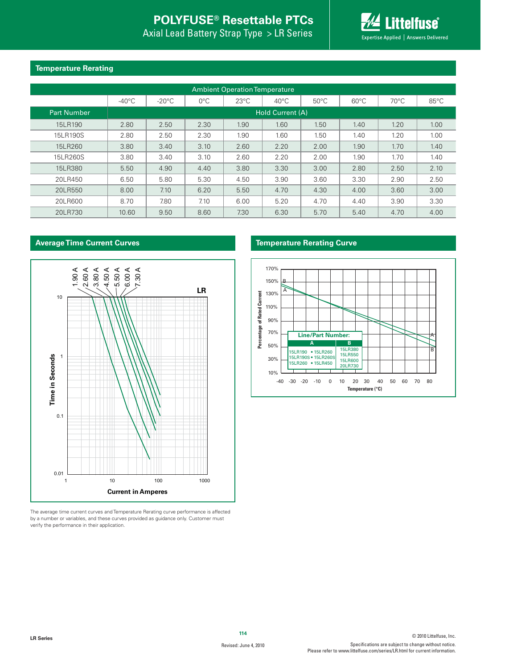# **POLYFUSE® Resettable PTCs**

Axial Lead Battery Strap Type > LR Series



#### **Temperature Rerating**

| <b>Ambient Operation Temperature</b> |                  |                 |               |                |                |                |                |                |                |  |  |
|--------------------------------------|------------------|-----------------|---------------|----------------|----------------|----------------|----------------|----------------|----------------|--|--|
|                                      | $-40^{\circ}$ C  | $-20^{\circ}$ C | $0^{\circ}$ C | $23^{\circ}$ C | $40^{\circ}$ C | $50^{\circ}$ C | $60^{\circ}$ C | $70^{\circ}$ C | $85^{\circ}$ C |  |  |
| <b>Part Number</b>                   | Hold Current (A) |                 |               |                |                |                |                |                |                |  |  |
| 15LR190                              | 2.80             | 2.50            | 2.30          | 1.90           | 1.60           | 1.50           | 1.40           | 1.20           | 1.00           |  |  |
| 15LR190S                             | 2.80             | 2.50            | 2.30          | 1.90           | 1.60           | 1.50           | 1.40           | 1.20           | 1.00           |  |  |
| 15LR260                              | 3.80             | 3.40            | 3.10          | 2.60           | 2.20           | 2.00           | 1.90           | 1.70           | 1.40           |  |  |
| 15LR260S                             | 3.80             | 3.40            | 3.10          | 2.60           | 2.20           | 2.00           | 1.90           | 1.70           | 1.40           |  |  |
| 15LR380                              | 5.50             | 4.90            | 4.40          | 3.80           | 3.30           | 3.00           | 2.80           | 2.50           | 2.10           |  |  |
| 20LR450                              | 6.50             | 5.80            | 5.30          | 4.50           | 3.90           | 3.60           | 3.30           | 2.90           | 2.50           |  |  |
| 20LR550                              | 8.00             | 7.10            | 6.20          | 5.50           | 4.70           | 4.30           | 4.00           | 3.60           | 3.00           |  |  |
| 20LR600                              | 8.70             | 7.80            | 7.10          | 6.00           | 5.20           | 4.70           | 4.40           | 3.90           | 3.30           |  |  |
| 20LR730                              | 10.60            | 9.50            | 8.60          | 7.30           | 6.30           | 5.70           | 5.40           | 4.70           | 4.00           |  |  |

#### **Average Time Current Curves**



The average time current curves and Temperature Rerating curve performance is affected by a number or variables, and these curves provided as guidance only. Customer must verify the performance in their application.

#### **Temperature Rerating Curve**

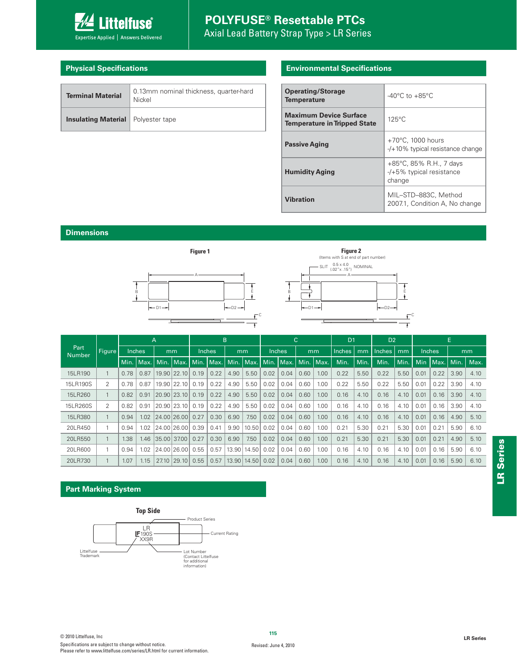

### **POLYFUSE® Resettable PTCs** Axial Lead Battery Strap Type > LR Series

#### **Physical Specifications**

| <b>Terminal Material</b>                    | 0.13mm nominal thickness, quarter-hard<br>Nickel |
|---------------------------------------------|--------------------------------------------------|
| <b>Insulating Material</b>   Polyester tape |                                                  |

#### **Environmental Specifications**

| <b>Operating/Storage</b><br><b>Temperature</b>                       | $-40^{\circ}$ C to $+85^{\circ}$ C                                 |
|----------------------------------------------------------------------|--------------------------------------------------------------------|
| <b>Maximum Device Surface</b><br><b>Temperature in Tripped State</b> | $125^{\circ}$ C                                                    |
| <b>Passive Aging</b>                                                 | $+70^{\circ}$ C. 1000 hours<br>$-$ /+10% typical resistance change |
| <b>Humidity Aging</b>                                                | +85°C, 85% R.H., 7 days<br>$-$ /+5% typical resistance<br>change   |
| <b>Vibration</b>                                                     | MIL-STD-883C, Method<br>2007.1, Condition A, No change             |

#### **Dimensions**



|                       |                |               | A    |    |                 | B      |             |      | C             |        |                                  | D <sub>1</sub> |      | D <sub>2</sub> |      |               |      |      |                   |      |                |
|-----------------------|----------------|---------------|------|----|-----------------|--------|-------------|------|---------------|--------|----------------------------------|----------------|------|----------------|------|---------------|------|------|-------------------|------|----------------|
| Part<br><b>Number</b> | Figure         | <b>Inches</b> |      | mm |                 | Inches |             | mm   |               | Inches |                                  | mm             |      | <b>Inches</b>  | mm   | <b>Inches</b> | mm   |      | Inches            |      | m <sub>m</sub> |
|                       |                | Min.          | Max. |    | Min.   Max.     |        | Min. Max. I |      |               |        | Min.   Max.   Min.   Max.   Min. |                | Max. | Min.           | Min. | Min.          | Min. |      | Min   Max.   Min. |      | Max.           |
| 15LR190               |                | 0.78          | 0.87 |    | $19.90$   22.10 | 0.19   | 0.22        | 4.90 | 5.50          | 0.02   | 0.04                             | 0.60           | 1.00 | 0.22           | 5.50 | 0.22          | 5.50 | 0.01 | 0.22              | 3.90 | 4.10           |
| 15LR190S              | 2              | 0.78          | 0.87 |    | 19.90   22.10   | 0.19   | 0.22        | 4.90 | 5.50          | 0.02   | 0.04                             | 0.60           | 1.00 | 0.22           | 5.50 | 0.22          | 5.50 | 0.01 | 0.22              | 3.90 | 4.10           |
| 15LR260               |                | 0.82          | 0.91 |    | 20.90 23.10     | 0.19   | 0.22        | 4.90 | 5.50          | 0.02   | 0.04                             | 0.60           | 1.00 | 0.16           | 4.10 | 0.16          | 4.10 | 0.01 | 0.16              | 3.90 | 4.10           |
| 15LR260S              | $\mathfrak{D}$ | 0.82          | 0.91 |    | 20.90 23.10     | 0.19   | 0.22        | 4.90 | 5.50          | 0.02   | 0.04                             | 0.60           | 1.00 | 0.16           | 4.10 | 0.16          | 4.10 | 0.01 | 0.16              | 3.90 | 4.10           |
| 15LR380               |                | 0.94          | 1.02 |    | 24.00 26.00     | 0.27   | 0.30        | 6.90 | 7.50          | 0.02   | 0.04                             | 0.60           | 1.00 | 0.16           | 4.10 | 0.16          | 4.10 | 0.01 | 0.16              | 4.90 | 5.10           |
| 20LR450               |                | 0.94          | 1.02 |    | 24.00126.001    | 0.39   | 0.41        | 9.90 | 10.50         | 0.02   | 0.04                             | 0.60           | 1.00 | 0.21           | 5.30 | 0.21          | 5.30 | 0.01 | 0.21              | 5.90 | 6.10           |
| 20LR550               |                | 1.38          | 1.46 |    | 35.00 37.00     | 0.27   | 0.30        | 6.90 | 7.50          | 0.02   | 0.04                             | 0.60           | 1.00 | 0.21           | 5.30 | 0.21          | 5.30 | 0.01 | 0.21              | 4.90 | 5.10           |
| 20LR600               |                | 0.94          | 1.02 |    | 24.00 26.00     | 0.55   | 0.57        |      | 13.90   14.50 | 0.02   | 0.04                             | 0.60           | 1.00 | 0.16           | 4.10 | 0.16          | 4.10 | 0.01 | 0.16              | 5.90 | 6.10           |
| 20LR730               |                | 1.07          | .15  |    | 27.10 29.10     | 0.55   | 0.57        |      | 13.90 14.50   | 0.02   | 0.04                             | 0.60           | 1.00 | 0.16           | 4.10 | 0.16          | 4.10 | 0.01 | 0.16              | 5.90 | 6.10           |

#### **Part Marking System**

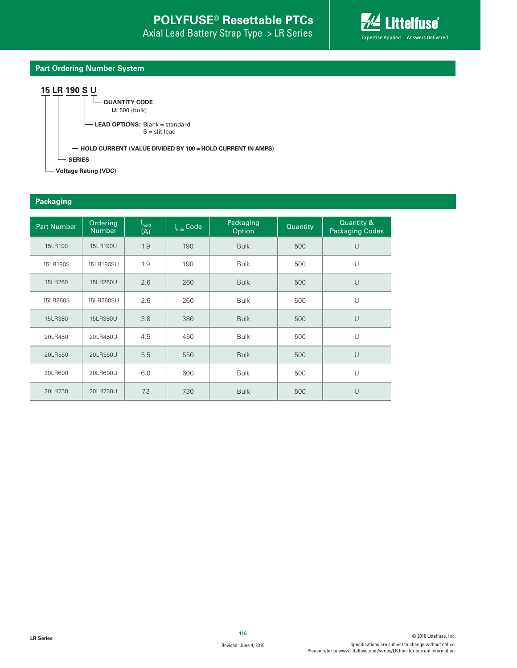

#### **Part Ordering Number System**

#### **15 LR 190 S U**



**Voltage Rating (VDC)**

#### **Packaging**

| <b>Part Number</b> | Ordering<br><b>Number</b> | I <sub>hold</sub><br>(A) | I <sub>hold</sub> Code | Packaging<br>Option | Quantity | Quantity &<br><b>Packaging Codes</b> |
|--------------------|---------------------------|--------------------------|------------------------|---------------------|----------|--------------------------------------|
| 15LR190            | 15LR190U                  | 1.9                      | 190                    | <b>Bulk</b>         | 500      | $\cup$                               |
| 15LR190S           | 15LR190SU                 | 1.9                      | 190                    | <b>Bulk</b>         | 500      | $\cup$                               |
| 15LR260            | 15LR260U                  | 2.6                      | 260                    | <b>Bulk</b>         | 500      | $\cup$                               |
| 15LR260S           | 15LR260SU                 | 2.6                      | 260                    | <b>Bulk</b>         | 500      | U                                    |
| 15LR380            | 15LR380U                  | 3.8                      | 380                    | <b>Bulk</b>         | 500      | $\cup$                               |
| 20LR450            | 20LR450U                  | 4.5                      | 450                    | <b>Bulk</b>         | 500      | $\cup$                               |
| 20LR550            | 20LR550U                  | 5.5                      | 550                    | <b>Bulk</b>         | 500      | $\cup$                               |
| 20LR600            | 20LR600U                  | 6.0                      | 600                    | <b>Bulk</b>         | 500      | U                                    |
| 20LR730            | 20LR730U                  | 7.3                      | 730                    | <b>Bulk</b>         | 500      | $\cup$                               |